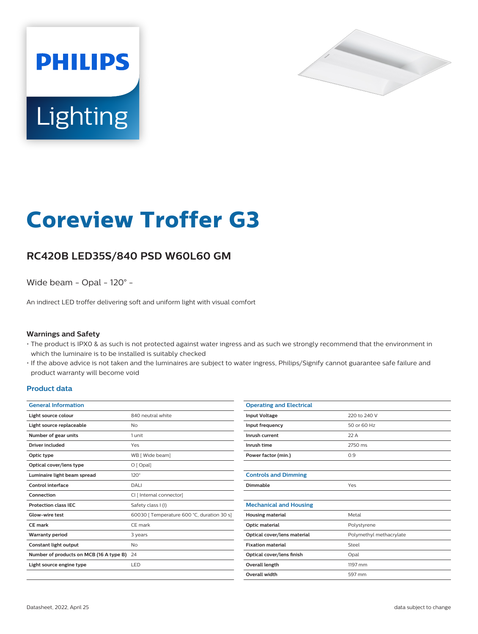



# **Coreview Troffer G3**

## **RC420B LED35S/840 PSD W60L60 GM**

Wide beam - Opal - 120° -

An indirect LED troffer delivering soft and uniform light with visual comfort

#### **Warnings and Safety**

- The product is IPX0 & as such is not protected against water ingress and as such we strongly recommend that the environment in which the luminaire is to be installed is suitably checked
- If the above advice is not taken and the luminaires are subject to water ingress, Philips/Signify cannot guarantee safe failure and product warranty will become void

#### **Product data**

| <b>General Information</b>              |                                            |
|-----------------------------------------|--------------------------------------------|
| Light source colour                     | 840 neutral white                          |
| Light source replaceable                | No                                         |
| Number of gear units                    | 1 unit                                     |
| Driver included                         | Yes                                        |
| Optic type                              | WB [ Wide beam]                            |
| Optical cover/lens type                 | $O$ [ Opal]                                |
| Luminaire light beam spread             | $120^\circ$                                |
| Control interface                       | DALI                                       |
| Connection                              | CI [ Internal connector]                   |
| <b>Protection class IFC</b>             | Safety class I (I)                         |
| Glow-wire test                          | 60030 [ Temperature 600 °C, duration 30 s] |
| CE mark                                 | CE mark                                    |
| <b>Warranty period</b>                  | 3 years                                    |
| Constant light output                   | No                                         |
| Number of products on MCB (16 A type B) | 24                                         |
| Light source engine type                | <b>LED</b>                                 |
|                                         |                                            |

| <b>Operating and Electrical</b> |                         |
|---------------------------------|-------------------------|
| <b>Input Voltage</b>            | 220 to 240 V            |
| Input frequency                 | 50 or 60 Hz             |
| Inrush current                  | 22A                     |
| Inrush time                     | 2750 ms                 |
| Power factor (min.)             | 0.9                     |
|                                 |                         |
| <b>Controls and Dimming</b>     |                         |
| Dimmable                        | Yes                     |
|                                 |                         |
| <b>Mechanical and Housing</b>   |                         |
| <b>Housing material</b>         | Metal                   |
| Optic material                  | Polystyrene             |
| Optical cover/lens material     | Polymethyl methacrylate |
| <b>Fixation material</b>        | Steel                   |
| Optical cover/lens finish       | Opal                    |
| Overall length                  | 1197 mm                 |
| <b>Overall width</b>            | 597 mm                  |
|                                 |                         |